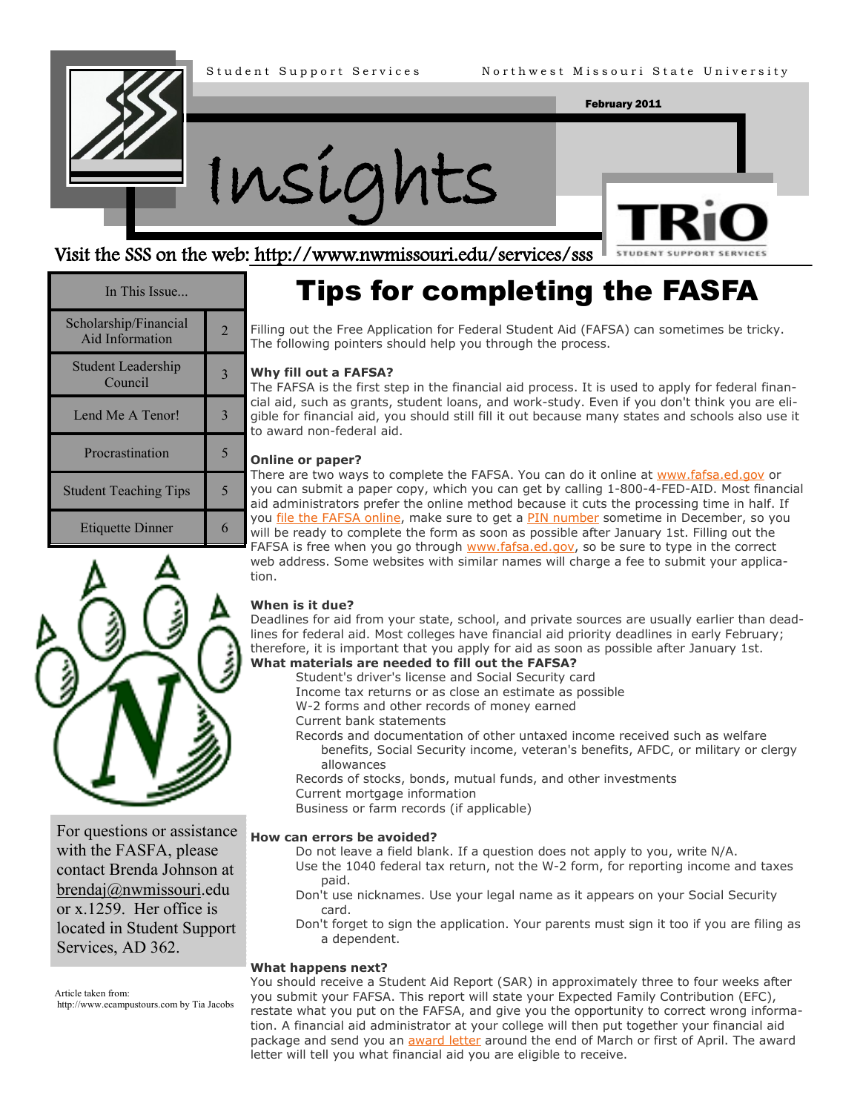



#### Visit the SSS on the web: http://www.nwmissouri.edu/services/sss

# **STUDENT SUPPORT**

| In This Issue                            |                             |
|------------------------------------------|-----------------------------|
| Scholarship/Financial<br>Aid Information | $\mathcal{D}_{\mathcal{A}}$ |
| <b>Student Leadership</b><br>Council     |                             |
| Lend Me A Tenor!                         |                             |
| Procrastination                          |                             |
| <b>Student Teaching Tips</b>             |                             |
| <b>Etiquette Dinner</b>                  |                             |



For questions or assistance with the FASFA, please contact Brenda Johnson at brendaj@nwmissouri.edu or x.1259. Her office is located in Student Support Services, AD 362.

Article taken from:

http://www.ecampustours.com by Tia Jacobs

### Tips for completing the FASFA

Filling out the Free Application for Federal Student Aid (FAFSA) can sometimes be tricky. The following pointers should help you through the process.

#### **Why fill out a FAFSA?**

The FAFSA is the first step in the financial aid process. It is used to apply for federal financial aid, such as grants, student loans, and work-study. Even if you don't think you are eligible for financial aid, you should still fill it out because many states and schools also use it to award non-federal aid.

#### **Online or paper?**

There are two ways to complete the FAFSA. You can do it online at [www.fafsa.ed.gov](http://www.fafsa.ed.gov) or you can submit a paper copy, which you can get by calling 1-800-4-FED-AID. Most financial aid administrators prefer the online method because it cuts the processing time in half. If you [file the FAFSA online,](http://www.ecampustours.com/payingforcollege/financialaidandfafsa/fafsaonline) make sure to get a [PIN number](http://www.pin.ed.gov/PINWebApp/pinindex.jsp) sometime in December, so you will be ready to complete the form as soon as possible after January 1st. Filling out the FAFSA is free when you go through [www.fafsa.ed.gov,](http://www.fafsa.ed.gov) so be sure to type in the correct web address. Some websites with similar names will charge a fee to submit your application.

#### **When is it due?**

Deadlines for aid from your state, school, and private sources are usually earlier than deadlines for federal aid. Most colleges have financial aid priority deadlines in early February; therefore, it is important that you apply for aid as soon as possible after January 1st.

#### **What materials are needed to fill out the FAFSA?**

- Student's driver's license and Social Security card
- Income tax returns or as close an estimate as possible
- W-2 forms and other records of money earned
- Current bank statements
- Records and documentation of other untaxed income received such as welfare benefits, Social Security income, veteran's benefits, AFDC, or military or clergy allowances
- Records of stocks, bonds, mutual funds, and other investments
- Current mortgage information

Business or farm records (if applicable)

#### **How can errors be avoided?**

- Do not leave a field blank. If a question does not apply to you, write N/A.
- Use the 1040 federal tax return, not the W-2 form, for reporting income and taxes paid.
- Don't use nicknames. Use your legal name as it appears on your Social Security card.
- Don't forget to sign the application. Your parents must sign it too if you are filing as a dependent.

#### **What happens next?**

You should receive a Student Aid Report (SAR) in approximately three to four weeks after you submit your FAFSA. This report will state your Expected Family Contribution (EFC), restate what you put on the FAFSA, and give you the opportunity to correct wrong information. A financial aid administrator at your college will then put together your financial aid package and send you an [award letter](http://www.ecampustours.com/payingforcollege/financialaidandfafsa/financialaidawardletter) around the end of March or first of April. The award letter will tell you what financial aid you are eligible to receive.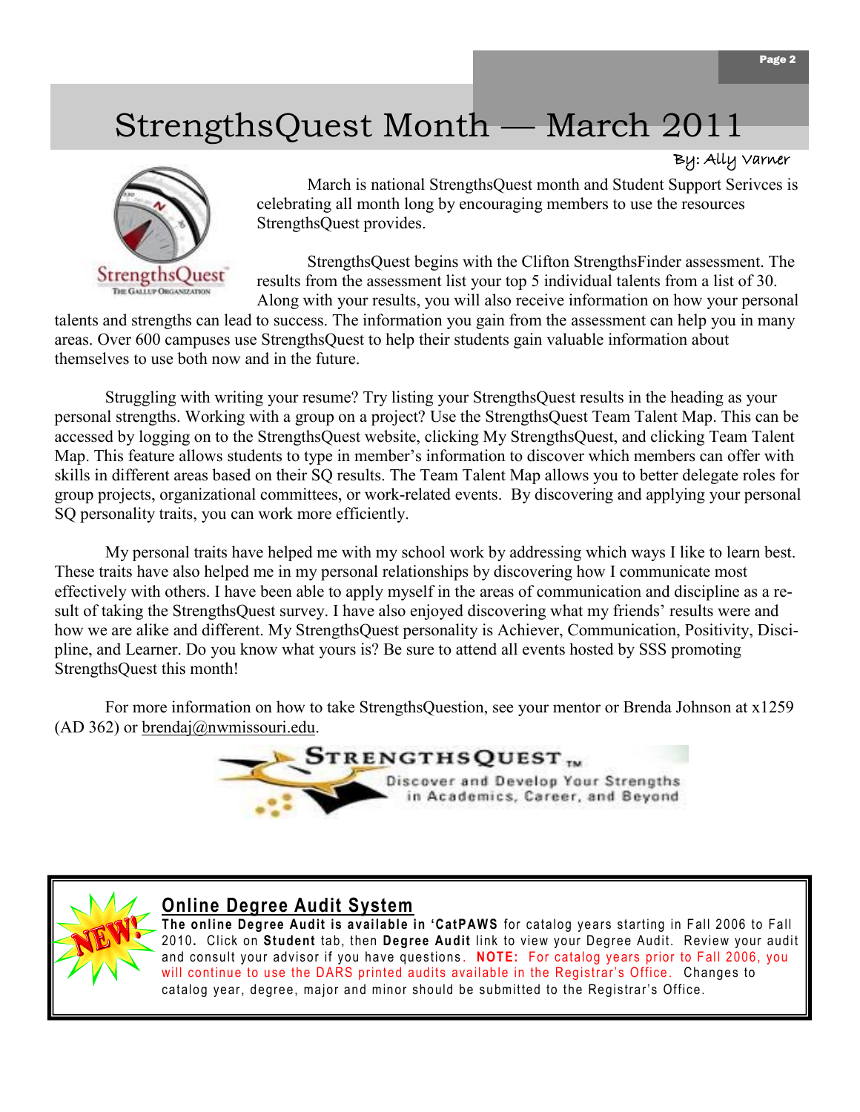## StrengthsQuest Month — March 2011

#### By: Ally Varner



March is national StrengthsQuest month and Student Support Serivces is celebrating all month long by encouraging members to use the resources StrengthsQuest provides.

StrengthsQuest begins with the Clifton StrengthsFinder assessment. The results from the assessment list your top 5 individual talents from a list of 30. Along with your results, you will also receive information on how your personal

talents and strengths can lead to success. The information you gain from the assessment can help you in many areas. Over 600 campuses use StrengthsQuest to help their students gain valuable information about themselves to use both now and in the future.

Struggling with writing your resume? Try listing your StrengthsQuest results in the heading as your personal strengths. Working with a group on a project? Use the StrengthsQuest Team Talent Map. This can be accessed by logging on to the StrengthsQuest website, clicking My StrengthsQuest, and clicking Team Talent Map. This feature allows students to type in member's information to discover which members can offer with skills in different areas based on their SQ results. The Team Talent Map allows you to better delegate roles for group projects, organizational committees, or work-related events. By discovering and applying your personal SQ personality traits, you can work more efficiently.

My personal traits have helped me with my school work by addressing which ways I like to learn best. These traits have also helped me in my personal relationships by discovering how I communicate most effectively with others. I have been able to apply myself in the areas of communication and discipline as a result of taking the StrengthsQuest survey. I have also enjoyed discovering what my friends' results were and how we are alike and different. My StrengthsQuest personality is Achiever, Communication, Positivity, Discipline, and Learner. Do you know what yours is? Be sure to attend all events hosted by SSS promoting StrengthsQuest this month!

For more information on how to take StrengthsQuestion, see your mentor or Brenda Johnson at x1259  $(AD 362)$  or brendaj@nwmissouri.edu.



#### **Online Degree Audit System**

**The online Degree Audit is available in 'CatPAWS** for catalog years starting in Fall 2006 to Fall 2010**.** Click on **Student** tab, then **Degree Audit** link to view your Degree Audit. Review your audit and consult your advisor if you have questions . **NOTE:** For catalog years prior to Fall 2006, you will continue to use the DARS printed audits available in the Registrar's Office. Changes to catalog year, degree, major and minor should be submitted to the Registrar's Office.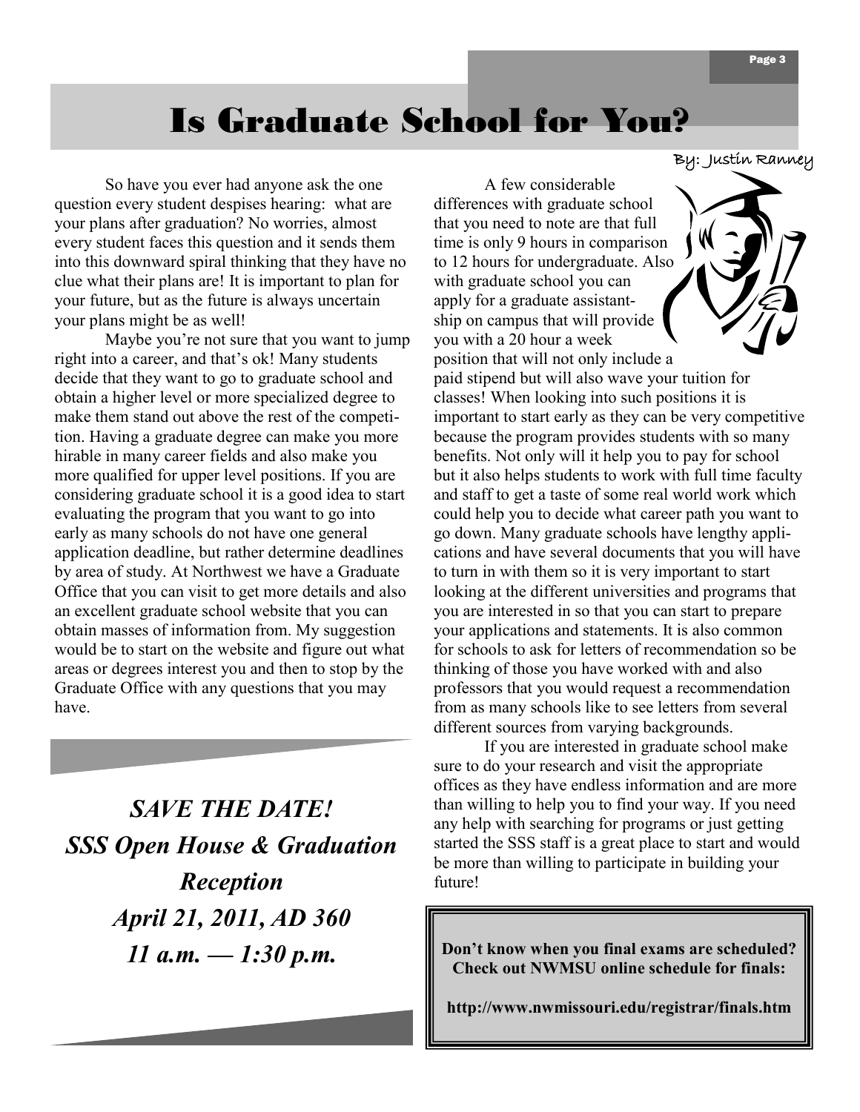### Is Graduate School for You?

So have you ever had anyone ask the one question every student despises hearing: what are your plans after graduation? No worries, almost every student faces this question and it sends them into this downward spiral thinking that they have no clue what their plans are! It is important to plan for your future, but as the future is always uncertain your plans might be as well!

Maybe you're not sure that you want to jump right into a career, and that's ok! Many students decide that they want to go to graduate school and obtain a higher level or more specialized degree to make them stand out above the rest of the competition. Having a graduate degree can make you more hirable in many career fields and also make you more qualified for upper level positions. If you are considering graduate school it is a good idea to start evaluating the program that you want to go into early as many schools do not have one general application deadline, but rather determine deadlines by area of study. At Northwest we have a Graduate Office that you can visit to get more details and also an excellent graduate school website that you can obtain masses of information from. My suggestion would be to start on the website and figure out what areas or degrees interest you and then to stop by the Graduate Office with any questions that you may have.

*SAVE THE DATE! SSS Open House & Graduation Reception April 21, 2011, AD 360 11 a.m. — 1:30 p.m.*

By: Justin Ranney

A few considerable differences with graduate school that you need to note are that full time is only 9 hours in comparison to 12 hours for undergraduate. Also with graduate school you can apply for a graduate assistantship on campus that will provide you with a 20 hour a week position that will not only include a



paid stipend but will also wave your tuition for classes! When looking into such positions it is important to start early as they can be very competitive because the program provides students with so many benefits. Not only will it help you to pay for school but it also helps students to work with full time faculty and staff to get a taste of some real world work which could help you to decide what career path you want to go down. Many graduate schools have lengthy applications and have several documents that you will have to turn in with them so it is very important to start looking at the different universities and programs that you are interested in so that you can start to prepare your applications and statements. It is also common for schools to ask for letters of recommendation so be thinking of those you have worked with and also professors that you would request a recommendation from as many schools like to see letters from several different sources from varying backgrounds.

If you are interested in graduate school make sure to do your research and visit the appropriate offices as they have endless information and are more than willing to help you to find your way. If you need any help with searching for programs or just getting started the SSS staff is a great place to start and would be more than willing to participate in building your future!

**Don't know when you final exams are scheduled? Check out NWMSU online schedule for finals:** 

**http://www.nwmissouri.edu/registrar/finals.htm**